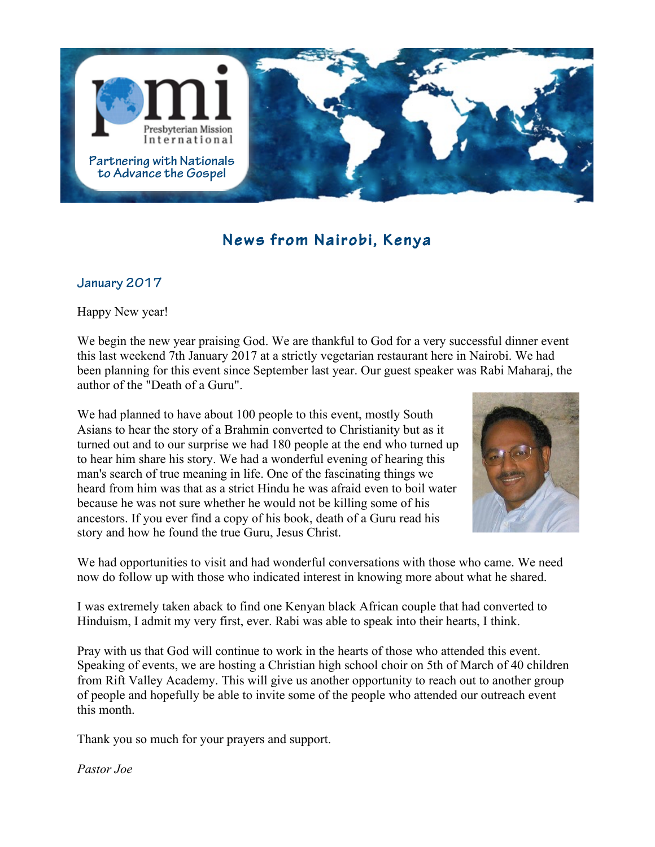

## **News from Nairobi, Kenya**

## **January 2017**

Happy New year!

We begin the new year praising God. We are thankful to God for a very successful dinner event this last weekend 7th January 2017 at a strictly vegetarian restaurant here in Nairobi. We had been planning for this event since September last year. Our guest speaker was Rabi Maharaj, the author of the "Death of a Guru".

We had planned to have about 100 people to this event, mostly South Asians to hear the story of a Brahmin converted to Christianity but as it turned out and to our surprise we had 180 people at the end who turned up to hear him share his story. We had a wonderful evening of hearing this man's search of true meaning in life. One of the fascinating things we heard from him was that as a strict Hindu he was afraid even to boil water because he was not sure whether he would not be killing some of his ancestors. If you ever find a copy of his book, death of a Guru read his story and how he found the true Guru, Jesus Christ.



We had opportunities to visit and had wonderful conversations with those who came. We need now do follow up with those who indicated interest in knowing more about what he shared.

I was extremely taken aback to find one Kenyan black African couple that had converted to Hinduism, I admit my very first, ever. Rabi was able to speak into their hearts, I think.

Pray with us that God will continue to work in the hearts of those who attended this event. Speaking of events, we are hosting a Christian high school choir on 5th of March of 40 children from Rift Valley Academy. This will give us another opportunity to reach out to another group of people and hopefully be able to invite some of the people who attended our outreach event this month.

Thank you so much for your prayers and support.

*Pastor Joe*